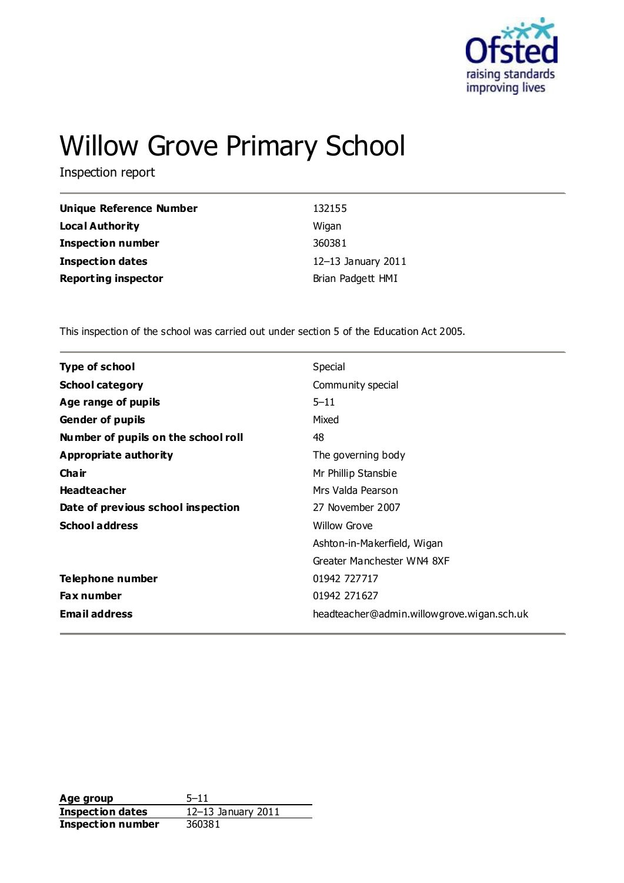

# Willow Grove Primary School

Inspection report

| Unique Reference Number    | 132155             |
|----------------------------|--------------------|
| <b>Local Authority</b>     | Wigan              |
| <b>Inspection number</b>   | 360381             |
| <b>Inspection dates</b>    | 12-13 January 2011 |
| <b>Reporting inspector</b> | Brian Padgett HMI  |

This inspection of the school was carried out under section 5 of the Education Act 2005.

| <b>Type of school</b>               | Special                                    |
|-------------------------------------|--------------------------------------------|
| <b>School category</b>              | Community special                          |
| Age range of pupils                 | $5 - 11$                                   |
| <b>Gender of pupils</b>             | Mixed                                      |
| Number of pupils on the school roll | 48                                         |
| Appropriate authority               | The governing body                         |
| Cha ir                              | Mr Phillip Stansbie                        |
| <b>Headteacher</b>                  | Mrs Valda Pearson                          |
| Date of previous school inspection  | 27 November 2007                           |
| <b>School address</b>               | <b>Willow Grove</b>                        |
|                                     | Ashton-in-Makerfield, Wigan                |
|                                     | Greater Manchester WN4 8XF                 |
| Telephone number                    | 01942 727717                               |
| <b>Fax number</b>                   | 01942 271627                               |
| <b>Email address</b>                | headteacher@admin.willowgrove.wigan.sch.uk |

**Age group** 5–11 **Inspection dates** 12–13 January 2011 **Inspection number** 360381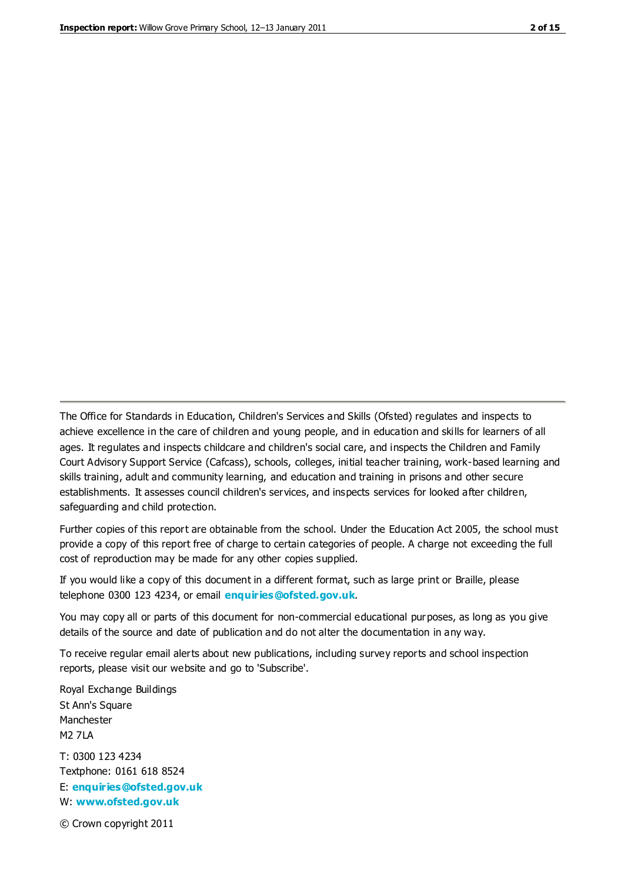The Office for Standards in Education, Children's Services and Skills (Ofsted) regulates and inspects to achieve excellence in the care of children and young people, and in education and skills for learners of all ages. It regulates and inspects childcare and children's social care, and inspects the Children and Family Court Advisory Support Service (Cafcass), schools, colleges, initial teacher training, work-based learning and skills training, adult and community learning, and education and training in prisons and other secure establishments. It assesses council children's services, and inspects services for looked after children, safeguarding and child protection.

Further copies of this report are obtainable from the school. Under the Education Act 2005, the school must provide a copy of this report free of charge to certain categories of people. A charge not exceeding the full cost of reproduction may be made for any other copies supplied.

If you would like a copy of this document in a different format, such as large print or Braille, please telephone 0300 123 4234, or email **[enquiries@ofsted.gov.uk](mailto:enquiries@ofsted.gov.uk)**.

You may copy all or parts of this document for non-commercial educational purposes, as long as you give details of the source and date of publication and do not alter the documentation in any way.

To receive regular email alerts about new publications, including survey reports and school inspection reports, please visit our website and go to 'Subscribe'.

Royal Exchange Buildings St Ann's Square Manchester M2 7LA T: 0300 123 4234 Textphone: 0161 618 8524 E: **[enquiries@ofsted.gov.uk](mailto:enquiries@ofsted.gov.uk)**

W: **[www.ofsted.gov.uk](http://www.ofsted.gov.uk/)**

© Crown copyright 2011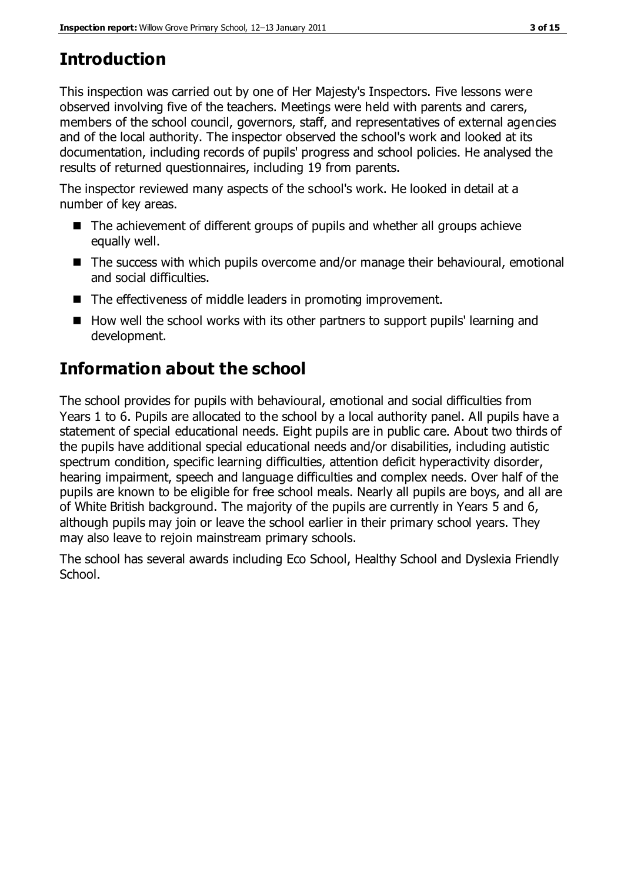# **Introduction**

This inspection was carried out by one of Her Majesty's Inspectors. Five lessons were observed involving five of the teachers. Meetings were held with parents and carers, members of the school council, governors, staff, and representatives of external agencies and of the local authority. The inspector observed the school's work and looked at its documentation, including records of pupils' progress and school policies. He analysed the results of returned questionnaires, including 19 from parents.

The inspector reviewed many aspects of the school's work. He looked in detail at a number of key areas.

- The achievement of different groups of pupils and whether all groups achieve equally well.
- The success with which pupils overcome and/or manage their behavioural, emotional and social difficulties.
- The effectiveness of middle leaders in promoting improvement.
- $\blacksquare$  How well the school works with its other partners to support pupils' learning and development.

# **Information about the school**

The school provides for pupils with behavioural, emotional and social difficulties from Years 1 to 6. Pupils are allocated to the school by a local authority panel. All pupils have a statement of special educational needs. Eight pupils are in public care. About two thirds of the pupils have additional special educational needs and/or disabilities, including autistic spectrum condition, specific learning difficulties, attention deficit hyperactivity disorder, hearing impairment, speech and language difficulties and complex needs. Over half of the pupils are known to be eligible for free school meals. Nearly all pupils are boys, and all are of White British background. The majority of the pupils are currently in Years 5 and 6, although pupils may join or leave the school earlier in their primary school years. They may also leave to rejoin mainstream primary schools.

The school has several awards including Eco School, Healthy School and Dyslexia Friendly School.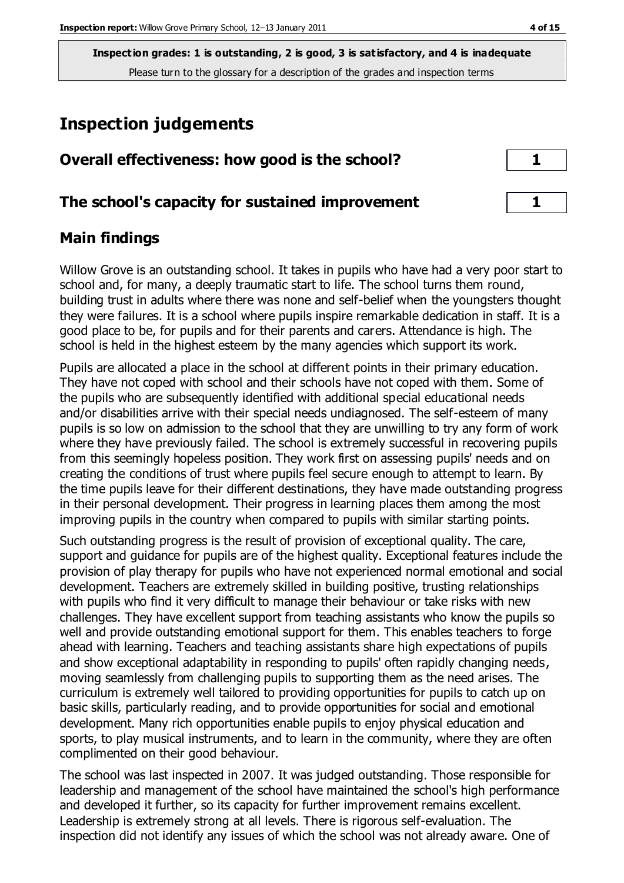# **Inspection judgements**

| Overall effectiveness: how good is the school?  |  |
|-------------------------------------------------|--|
| The school's capacity for sustained improvement |  |

## **Main findings**

Willow Grove is an outstanding school. It takes in pupils who have had a very poor start to school and, for many, a deeply traumatic start to life. The school turns them round, building trust in adults where there was none and self-belief when the youngsters thought they were failures. It is a school where pupils inspire remarkable dedication in staff. It is a good place to be, for pupils and for their parents and carers. Attendance is high. The school is held in the highest esteem by the many agencies which support its work.

Pupils are allocated a place in the school at different points in their primary education. They have not coped with school and their schools have not coped with them. Some of the pupils who are subsequently identified with additional special educational needs and/or disabilities arrive with their special needs undiagnosed. The self-esteem of many pupils is so low on admission to the school that they are unwilling to try any form of work where they have previously failed. The school is extremely successful in recovering pupils from this seemingly hopeless position. They work first on assessing pupils' needs and on creating the conditions of trust where pupils feel secure enough to attempt to learn. By the time pupils leave for their different destinations, they have made outstanding progress in their personal development. Their progress in learning places them among the most improving pupils in the country when compared to pupils with similar starting points.

Such outstanding progress is the result of provision of exceptional quality. The care, support and guidance for pupils are of the highest quality. Exceptional features include the provision of play therapy for pupils who have not experienced normal emotional and social development. Teachers are extremely skilled in building positive, trusting relationships with pupils who find it very difficult to manage their behaviour or take risks with new challenges. They have excellent support from teaching assistants who know the pupils so well and provide outstanding emotional support for them. This enables teachers to forge ahead with learning. Teachers and teaching assistants share high expectations of pupils and show exceptional adaptability in responding to pupils' often rapidly changing needs, moving seamlessly from challenging pupils to supporting them as the need arises. The curriculum is extremely well tailored to providing opportunities for pupils to catch up on basic skills, particularly reading, and to provide opportunities for social and emotional development. Many rich opportunities enable pupils to enjoy physical education and sports, to play musical instruments, and to learn in the community, where they are often complimented on their good behaviour.

The school was last inspected in 2007. It was judged outstanding. Those responsible for leadership and management of the school have maintained the school's high performance and developed it further, so its capacity for further improvement remains excellent. Leadership is extremely strong at all levels. There is rigorous self-evaluation. The inspection did not identify any issues of which the school was not already aware. One of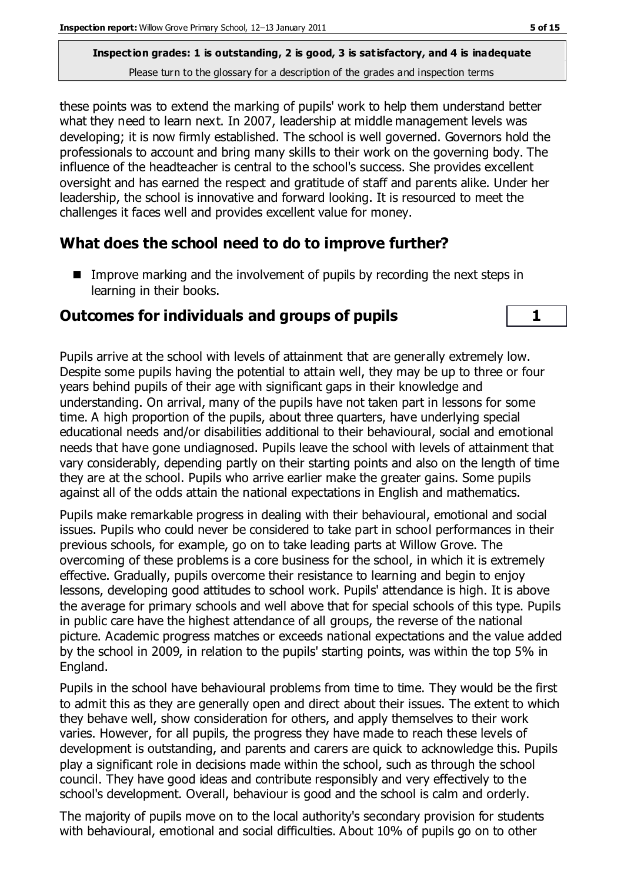these points was to extend the marking of pupils' work to help them understand better what they need to learn next. In 2007, leadership at middle management levels was developing; it is now firmly established. The school is well governed. Governors hold the professionals to account and bring many skills to their work on the governing body. The influence of the headteacher is central to the school's success. She provides excellent oversight and has earned the respect and gratitude of staff and parents alike. Under her leadership, the school is innovative and forward looking. It is resourced to meet the challenges it faces well and provides excellent value for money.

#### **What does the school need to do to improve further?**

Improve marking and the involvement of pupils by recording the next steps in learning in their books.

#### **Outcomes for individuals and groups of pupils 1**

Pupils arrive at the school with levels of attainment that are generally extremely low. Despite some pupils having the potential to attain well, they may be up to three or four years behind pupils of their age with significant gaps in their knowledge and understanding. On arrival, many of the pupils have not taken part in lessons for some time. A high proportion of the pupils, about three quarters, have underlying special educational needs and/or disabilities additional to their behavioural, social and emotional needs that have gone undiagnosed. Pupils leave the school with levels of attainment that vary considerably, depending partly on their starting points and also on the length of time they are at the school. Pupils who arrive earlier make the greater gains. Some pupils against all of the odds attain the national expectations in English and mathematics.

Pupils make remarkable progress in dealing with their behavioural, emotional and social issues. Pupils who could never be considered to take part in school performances in their previous schools, for example, go on to take leading parts at Willow Grove. The overcoming of these problems is a core business for the school, in which it is extremely effective. Gradually, pupils overcome their resistance to learning and begin to enjoy lessons, developing good attitudes to school work. Pupils' attendance is high. It is above the average for primary schools and well above that for special schools of this type. Pupils in public care have the highest attendance of all groups, the reverse of the national picture. Academic progress matches or exceeds national expectations and the value added by the school in 2009, in relation to the pupils' starting points, was within the top 5% in England.

Pupils in the school have behavioural problems from time to time. They would be the first to admit this as they are generally open and direct about their issues. The extent to which they behave well, show consideration for others, and apply themselves to their work varies. However, for all pupils, the progress they have made to reach these levels of development is outstanding, and parents and carers are quick to acknowledge this. Pupils play a significant role in decisions made within the school, such as through the school council. They have good ideas and contribute responsibly and very effectively to the school's development. Overall, behaviour is good and the school is calm and orderly.

The majority of pupils move on to the local authority's secondary provision for students with behavioural, emotional and social difficulties. About 10% of pupils go on to other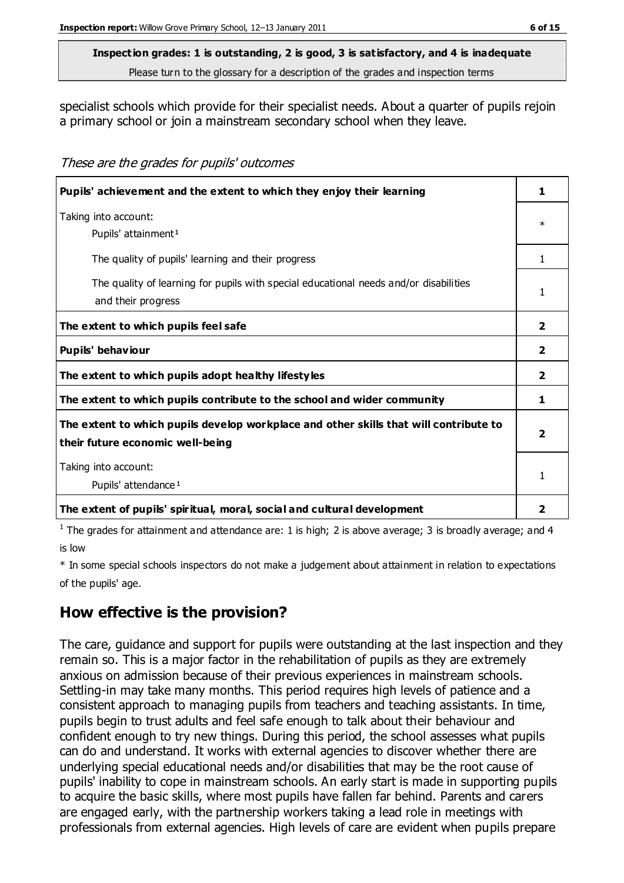#### **Inspection grades: 1 is outstanding, 2 is good, 3 is satisfactory, and 4 is inadequate**

Please turn to the glossary for a description of the grades and inspection terms

specialist schools which provide for their specialist needs. About a quarter of pupils rejoin a primary school or join a mainstream secondary school when they leave.

These are the grades for pupils' outcomes

| Pupils' achievement and the extent to which they enjoy their learning                                                     | 1                       |
|---------------------------------------------------------------------------------------------------------------------------|-------------------------|
| Taking into account:<br>Pupils' attainment <sup>1</sup>                                                                   | $\ast$                  |
| The quality of pupils' learning and their progress                                                                        | 1                       |
| The quality of learning for pupils with special educational needs and/or disabilities<br>and their progress               | 1                       |
| The extent to which pupils feel safe                                                                                      | $\overline{2}$          |
| Pupils' behaviour                                                                                                         | $\overline{2}$          |
| The extent to which pupils adopt healthy lifestyles                                                                       | $\overline{2}$          |
| The extent to which pupils contribute to the school and wider community                                                   | 1                       |
| The extent to which pupils develop workplace and other skills that will contribute to<br>their future economic well-being | 2                       |
| Taking into account:<br>Pupils' attendance <sup>1</sup>                                                                   |                         |
| The extent of pupils' spiritual, moral, social and cultural development                                                   | $\overline{\mathbf{2}}$ |

<sup>1</sup> The grades for attainment and attendance are: 1 is high; 2 is above average; 3 is broadly average; and 4 is low

\* In some special schools inspectors do not make a judgement about attainment in relation to expectations of the pupils' age.

## **How effective is the provision?**

The care, guidance and support for pupils were outstanding at the last inspection and they remain so. This is a major factor in the rehabilitation of pupils as they are extremely anxious on admission because of their previous experiences in mainstream schools. Settling-in may take many months. This period requires high levels of patience and a consistent approach to managing pupils from teachers and teaching assistants. In time, pupils begin to trust adults and feel safe enough to talk about their behaviour and confident enough to try new things. During this period, the school assesses what pupils can do and understand. It works with external agencies to discover whether there are underlying special educational needs and/or disabilities that may be the root cause of pupils' inability to cope in mainstream schools. An early start is made in supporting pupils to acquire the basic skills, where most pupils have fallen far behind. Parents and carers are engaged early, with the partnership workers taking a lead role in meetings with professionals from external agencies. High levels of care are evident when pupils prepare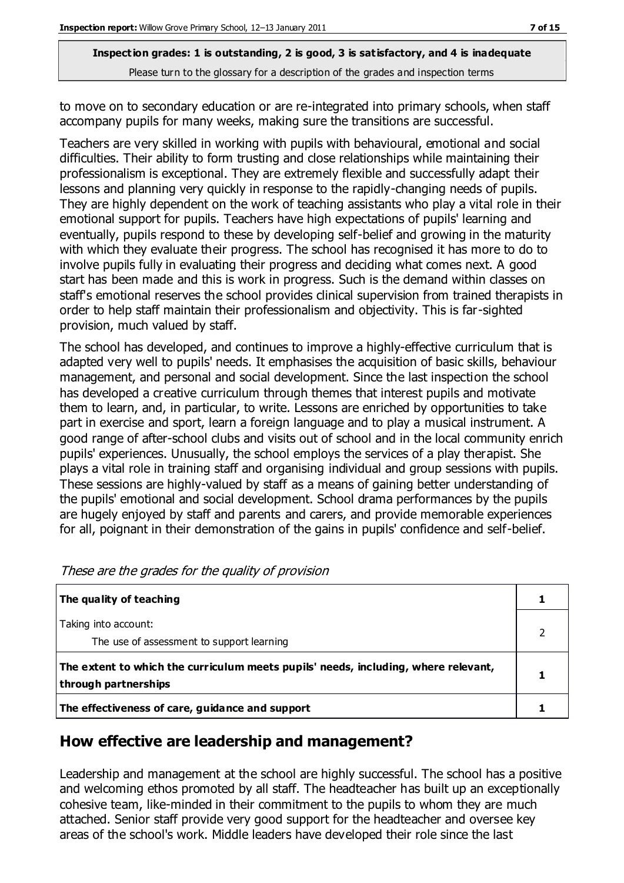to move on to secondary education or are re-integrated into primary schools, when staff accompany pupils for many weeks, making sure the transitions are successful.

Teachers are very skilled in working with pupils with behavioural, emotional and social difficulties. Their ability to form trusting and close relationships while maintaining their professionalism is exceptional. They are extremely flexible and successfully adapt their lessons and planning very quickly in response to the rapidly-changing needs of pupils. They are highly dependent on the work of teaching assistants who play a vital role in their emotional support for pupils. Teachers have high expectations of pupils' learning and eventually, pupils respond to these by developing self-belief and growing in the maturity with which they evaluate their progress. The school has recognised it has more to do to involve pupils fully in evaluating their progress and deciding what comes next. A good start has been made and this is work in progress. Such is the demand within classes on staff's emotional reserves the school provides clinical supervision from trained therapists in order to help staff maintain their professionalism and objectivity. This is far-sighted provision, much valued by staff.

The school has developed, and continues to improve a highly-effective curriculum that is adapted very well to pupils' needs. It emphasises the acquisition of basic skills, behaviour management, and personal and social development. Since the last inspection the school has developed a creative curriculum through themes that interest pupils and motivate them to learn, and, in particular, to write. Lessons are enriched by opportunities to take part in exercise and sport, learn a foreign language and to play a musical instrument. A good range of after-school clubs and visits out of school and in the local community enrich pupils' experiences. Unusually, the school employs the services of a play therapist. She plays a vital role in training staff and organising individual and group sessions with pupils. These sessions are highly-valued by staff as a means of gaining better understanding of the pupils' emotional and social development. School drama performances by the pupils are hugely enjoyed by staff and parents and carers, and provide memorable experiences for all, poignant in their demonstration of the gains in pupils' confidence and self-belief.

| The quality of teaching                                                                                    |  |
|------------------------------------------------------------------------------------------------------------|--|
| Taking into account:<br>The use of assessment to support learning                                          |  |
| The extent to which the curriculum meets pupils' needs, including, where relevant,<br>through partnerships |  |
| The effectiveness of care, guidance and support                                                            |  |

| These are the grades for the quality of provision |
|---------------------------------------------------|
|---------------------------------------------------|

## **How effective are leadership and management?**

Leadership and management at the school are highly successful. The school has a positive and welcoming ethos promoted by all staff. The headteacher has built up an exceptionally cohesive team, like-minded in their commitment to the pupils to whom they are much attached. Senior staff provide very good support for the headteacher and oversee key areas of the school's work. Middle leaders have developed their role since the last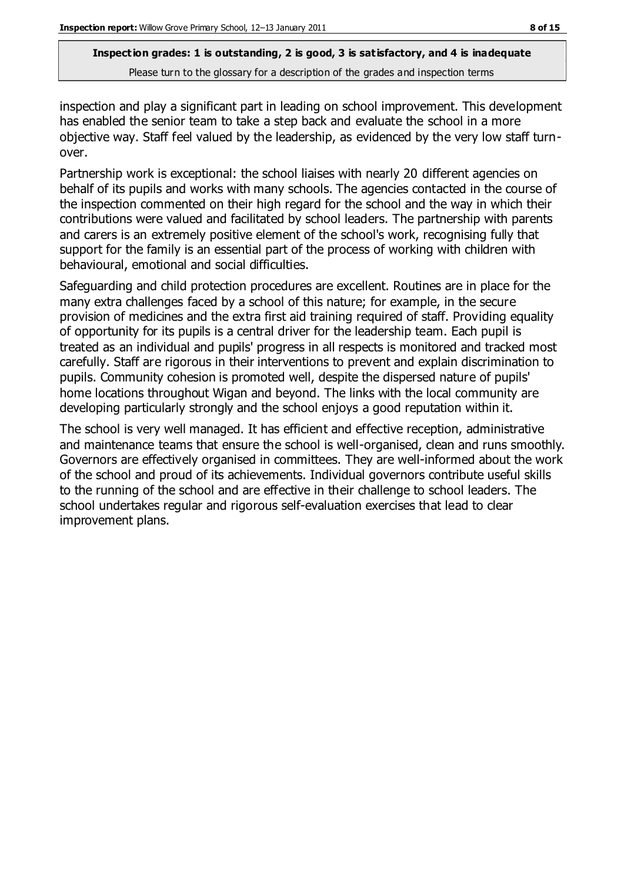inspection and play a significant part in leading on school improvement. This development has enabled the senior team to take a step back and evaluate the school in a more objective way. Staff feel valued by the leadership, as evidenced by the very low staff turnover.

Partnership work is exceptional: the school liaises with nearly 20 different agencies on behalf of its pupils and works with many schools. The agencies contacted in the course of the inspection commented on their high regard for the school and the way in which their contributions were valued and facilitated by school leaders. The partnership with parents and carers is an extremely positive element of the school's work, recognising fully that support for the family is an essential part of the process of working with children with behavioural, emotional and social difficulties.

Safeguarding and child protection procedures are excellent. Routines are in place for the many extra challenges faced by a school of this nature; for example, in the secure provision of medicines and the extra first aid training required of staff. Providing equality of opportunity for its pupils is a central driver for the leadership team. Each pupil is treated as an individual and pupils' progress in all respects is monitored and tracked most carefully. Staff are rigorous in their interventions to prevent and explain discrimination to pupils. Community cohesion is promoted well, despite the dispersed nature of pupils' home locations throughout Wigan and beyond. The links with the local community are developing particularly strongly and the school enjoys a good reputation within it.

The school is very well managed. It has efficient and effective reception, administrative and maintenance teams that ensure the school is well-organised, clean and runs smoothly. Governors are effectively organised in committees. They are well-informed about the work of the school and proud of its achievements. Individual governors contribute useful skills to the running of the school and are effective in their challenge to school leaders. The school undertakes regular and rigorous self-evaluation exercises that lead to clear improvement plans.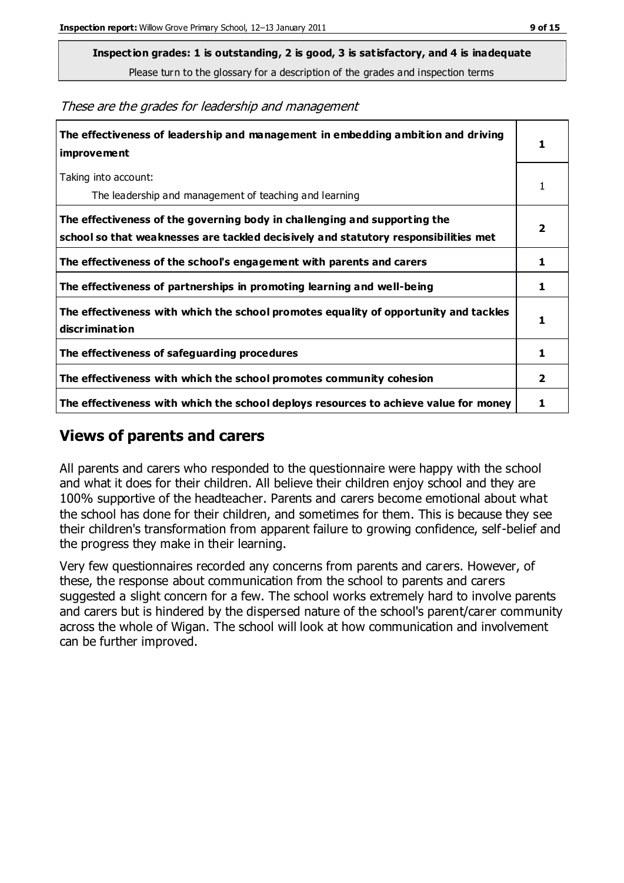**Inspection grades: 1 is outstanding, 2 is good, 3 is satisfactory, and 4 is inadequate**

Please turn to the glossary for a description of the grades and inspection terms

These are the grades for leadership and management

| The effectiveness of leadership and management in embedding ambition and driving<br>improvement                                                                  |                |
|------------------------------------------------------------------------------------------------------------------------------------------------------------------|----------------|
| Taking into account:<br>The leadership and management of teaching and learning                                                                                   | 1              |
| The effectiveness of the governing body in challenging and supporting the<br>school so that weaknesses are tackled decisively and statutory responsibilities met | $\overline{2}$ |
| The effectiveness of the school's engagement with parents and carers                                                                                             | 1              |
| The effectiveness of partnerships in promoting learning and well-being                                                                                           | 1              |
| The effectiveness with which the school promotes equality of opportunity and tackles<br>discrimination                                                           | 1              |
| The effectiveness of safeguarding procedures                                                                                                                     | 1              |
| The effectiveness with which the school promotes community cohesion                                                                                              | 2              |
| The effectiveness with which the school deploys resources to achieve value for money                                                                             | 1              |

### **Views of parents and carers**

All parents and carers who responded to the questionnaire were happy with the school and what it does for their children. All believe their children enjoy school and they are 100% supportive of the headteacher. Parents and carers become emotional about what the school has done for their children, and sometimes for them. This is because they see their children's transformation from apparent failure to growing confidence, self-belief and the progress they make in their learning.

Very few questionnaires recorded any concerns from parents and carers. However, of these, the response about communication from the school to parents and carers suggested a slight concern for a few. The school works extremely hard to involve parents and carers but is hindered by the dispersed nature of the school's parent/carer community across the whole of Wigan. The school will look at how communication and involvement can be further improved.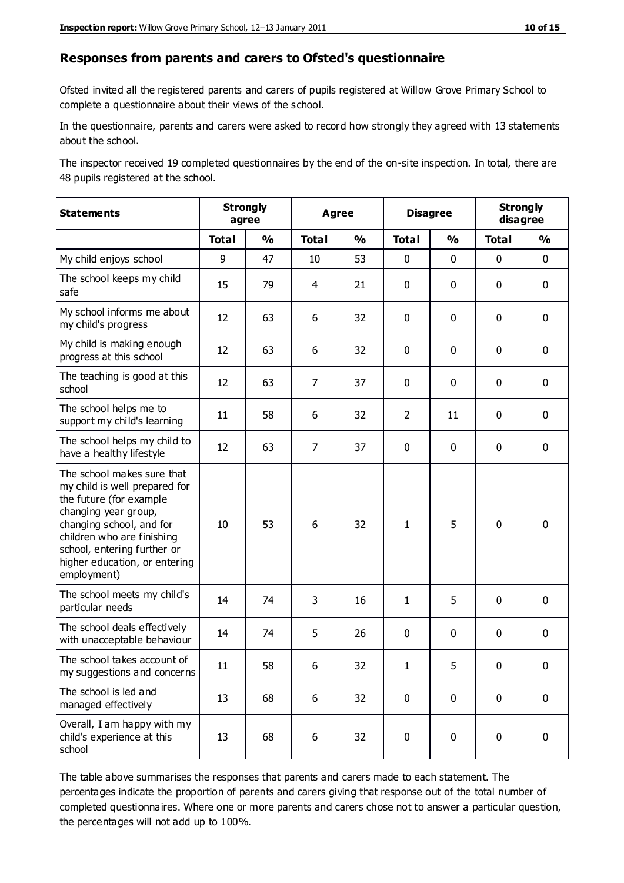#### **Responses from parents and carers to Ofsted's questionnaire**

Ofsted invited all the registered parents and carers of pupils registered at Willow Grove Primary School to complete a questionnaire about their views of the school.

In the questionnaire, parents and carers were asked to record how strongly they agreed with 13 statements about the school.

The inspector received 19 completed questionnaires by the end of the on-site inspection. In total, there are 48 pupils registered at the school.

| <b>Statements</b>                                                                                                                                                                                                                                       | <b>Strongly</b><br>agree |               | <b>Agree</b>   |               | <b>Disagree</b> |               | <b>Strongly</b><br>disagree |               |
|---------------------------------------------------------------------------------------------------------------------------------------------------------------------------------------------------------------------------------------------------------|--------------------------|---------------|----------------|---------------|-----------------|---------------|-----------------------------|---------------|
|                                                                                                                                                                                                                                                         | <b>Total</b>             | $\frac{0}{0}$ | <b>Total</b>   | $\frac{0}{0}$ | <b>Total</b>    | $\frac{0}{0}$ | <b>Total</b>                | $\frac{0}{0}$ |
| My child enjoys school                                                                                                                                                                                                                                  | 9                        | 47            | 10             | 53            | 0               | $\mathbf 0$   | 0                           | $\mathbf 0$   |
| The school keeps my child<br>safe                                                                                                                                                                                                                       | 15                       | 79            | 4              | 21            | 0               | $\mathbf 0$   | $\mathbf 0$                 | $\mathbf 0$   |
| My school informs me about<br>my child's progress                                                                                                                                                                                                       | 12                       | 63            | 6              | 32            | 0               | $\mathbf{0}$  | $\mathbf 0$                 | $\mathbf 0$   |
| My child is making enough<br>progress at this school                                                                                                                                                                                                    | 12                       | 63            | 6              | 32            | 0               | $\mathbf 0$   | $\mathbf 0$                 | $\mathbf 0$   |
| The teaching is good at this<br>school                                                                                                                                                                                                                  | 12                       | 63            | $\overline{7}$ | 37            | 0               | $\mathbf 0$   | $\mathbf 0$                 | $\mathbf 0$   |
| The school helps me to<br>support my child's learning                                                                                                                                                                                                   | 11                       | 58            | 6              | 32            | $\overline{2}$  | 11            | $\mathbf 0$                 | $\mathbf 0$   |
| The school helps my child to<br>have a healthy lifestyle                                                                                                                                                                                                | 12                       | 63            | $\overline{7}$ | 37            | $\mathbf 0$     | $\mathbf 0$   | $\mathbf 0$                 | $\mathbf 0$   |
| The school makes sure that<br>my child is well prepared for<br>the future (for example<br>changing year group,<br>changing school, and for<br>children who are finishing<br>school, entering further or<br>higher education, or entering<br>employment) | 10                       | 53            | 6              | 32            | $\mathbf{1}$    | 5             | $\mathbf 0$                 | $\mathbf 0$   |
| The school meets my child's<br>particular needs                                                                                                                                                                                                         | 14                       | 74            | 3              | 16            | $\mathbf{1}$    | 5             | $\mathbf 0$                 | $\mathbf 0$   |
| The school deals effectively<br>with unacceptable behaviour                                                                                                                                                                                             | 14                       | 74            | 5              | 26            | 0               | $\mathbf 0$   | $\mathbf 0$                 | $\mathbf 0$   |
| The school takes account of<br>my suggestions and concerns                                                                                                                                                                                              | 11                       | 58            | 6              | 32            | 1               | 5             | 0                           | 0             |
| The school is led and<br>managed effectively                                                                                                                                                                                                            | 13                       | 68            | 6              | 32            | $\pmb{0}$       | $\mathbf 0$   | $\mathbf 0$                 | $\mathbf 0$   |
| Overall, I am happy with my<br>child's experience at this<br>school                                                                                                                                                                                     | 13                       | 68            | 6              | 32            | $\pmb{0}$       | $\pmb{0}$     | $\pmb{0}$                   | $\pmb{0}$     |

The table above summarises the responses that parents and carers made to each statement. The percentages indicate the proportion of parents and carers giving that response out of the total number of completed questionnaires. Where one or more parents and carers chose not to answer a particular question, the percentages will not add up to 100%.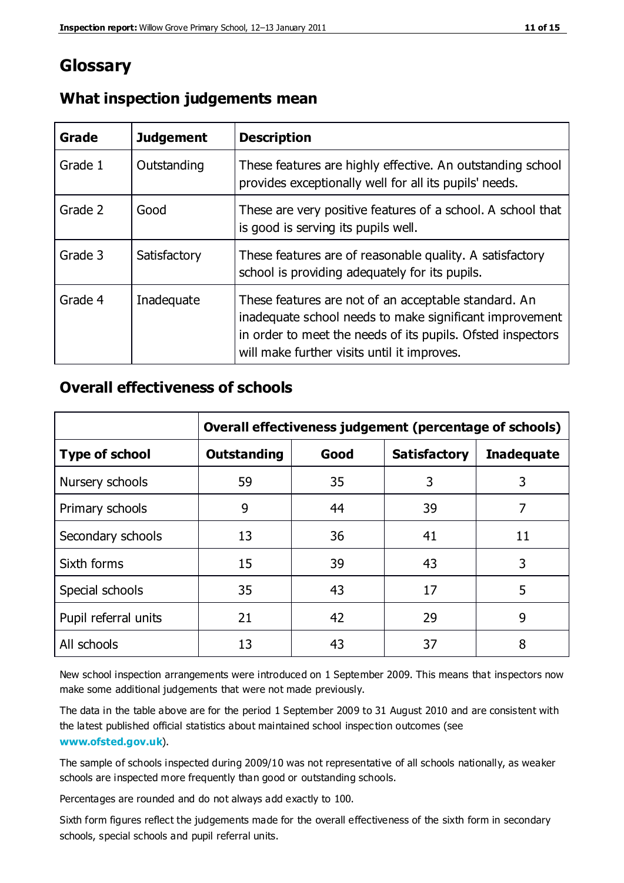## **Glossary**

| Grade   | <b>Judgement</b> | <b>Description</b>                                                                                                                                                                                                            |
|---------|------------------|-------------------------------------------------------------------------------------------------------------------------------------------------------------------------------------------------------------------------------|
| Grade 1 | Outstanding      | These features are highly effective. An outstanding school<br>provides exceptionally well for all its pupils' needs.                                                                                                          |
| Grade 2 | Good             | These are very positive features of a school. A school that<br>is good is serving its pupils well.                                                                                                                            |
| Grade 3 | Satisfactory     | These features are of reasonable quality. A satisfactory<br>school is providing adequately for its pupils.                                                                                                                    |
| Grade 4 | Inadequate       | These features are not of an acceptable standard. An<br>inadequate school needs to make significant improvement<br>in order to meet the needs of its pupils. Ofsted inspectors<br>will make further visits until it improves. |

### **What inspection judgements mean**

## **Overall effectiveness of schools**

|                       | Overall effectiveness judgement (percentage of schools) |      |                     |                   |
|-----------------------|---------------------------------------------------------|------|---------------------|-------------------|
| <b>Type of school</b> | <b>Outstanding</b>                                      | Good | <b>Satisfactory</b> | <b>Inadequate</b> |
| Nursery schools       | 59                                                      | 35   | 3                   | 3                 |
| Primary schools       | 9                                                       | 44   | 39                  | 7                 |
| Secondary schools     | 13                                                      | 36   | 41                  | 11                |
| Sixth forms           | 15                                                      | 39   | 43                  | 3                 |
| Special schools       | 35                                                      | 43   | 17                  | 5                 |
| Pupil referral units  | 21                                                      | 42   | 29                  | 9                 |
| All schools           | 13                                                      | 43   | 37                  | 8                 |

New school inspection arrangements were introduced on 1 September 2009. This means that inspectors now make some additional judgements that were not made previously.

The data in the table above are for the period 1 September 2009 to 31 August 2010 and are consistent with the latest published official statistics about maintained school inspec tion outcomes (see **[www.ofsted.gov.uk](http://www.ofsted.gov.uk/)**).

The sample of schools inspected during 2009/10 was not representative of all schools nationally, as weaker schools are inspected more frequently than good or outstanding schools.

Percentages are rounded and do not always add exactly to 100.

Sixth form figures reflect the judgements made for the overall effectiveness of the sixth form in secondary schools, special schools and pupil referral units.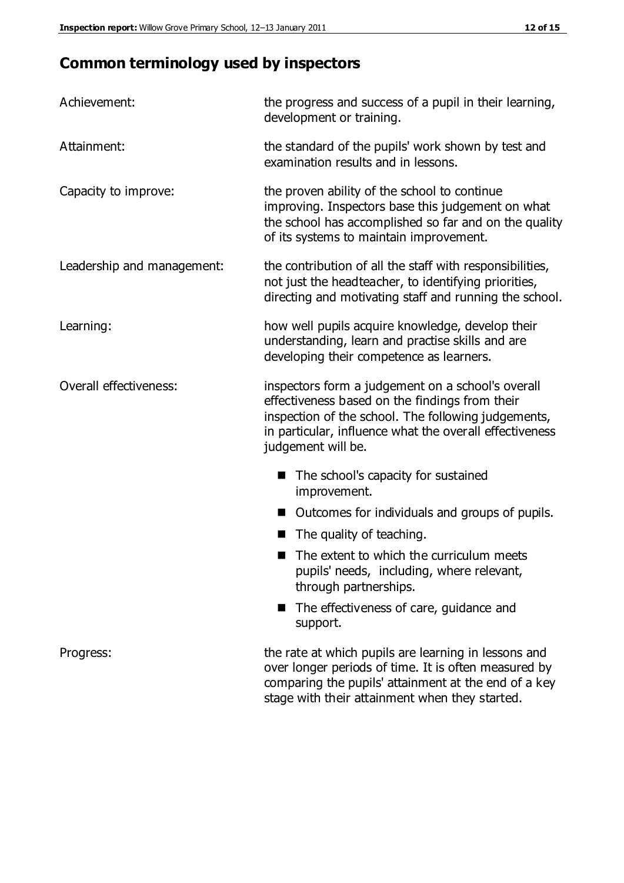## **Common terminology used by inspectors**

| Achievement:                  | the progress and success of a pupil in their learning,<br>development or training.                                                                                                                                                          |  |  |
|-------------------------------|---------------------------------------------------------------------------------------------------------------------------------------------------------------------------------------------------------------------------------------------|--|--|
| Attainment:                   | the standard of the pupils' work shown by test and<br>examination results and in lessons.                                                                                                                                                   |  |  |
| Capacity to improve:          | the proven ability of the school to continue<br>improving. Inspectors base this judgement on what<br>the school has accomplished so far and on the quality<br>of its systems to maintain improvement.                                       |  |  |
| Leadership and management:    | the contribution of all the staff with responsibilities,<br>not just the headteacher, to identifying priorities,<br>directing and motivating staff and running the school.                                                                  |  |  |
| Learning:                     | how well pupils acquire knowledge, develop their<br>understanding, learn and practise skills and are<br>developing their competence as learners.                                                                                            |  |  |
| <b>Overall effectiveness:</b> | inspectors form a judgement on a school's overall<br>effectiveness based on the findings from their<br>inspection of the school. The following judgements,<br>in particular, influence what the overall effectiveness<br>judgement will be. |  |  |
|                               | The school's capacity for sustained<br>improvement.                                                                                                                                                                                         |  |  |
|                               | Outcomes for individuals and groups of pupils.                                                                                                                                                                                              |  |  |
|                               | The quality of teaching.                                                                                                                                                                                                                    |  |  |
|                               | The extent to which the curriculum meets<br>pupils' needs, including, where relevant,<br>through partnerships.                                                                                                                              |  |  |
|                               | The effectiveness of care, guidance and<br>support.                                                                                                                                                                                         |  |  |
| Progress:                     | the rate at which pupils are learning in lessons and<br>over longer periods of time. It is often measured by<br>comparing the pupils' attainment at the end of a key                                                                        |  |  |

stage with their attainment when they started.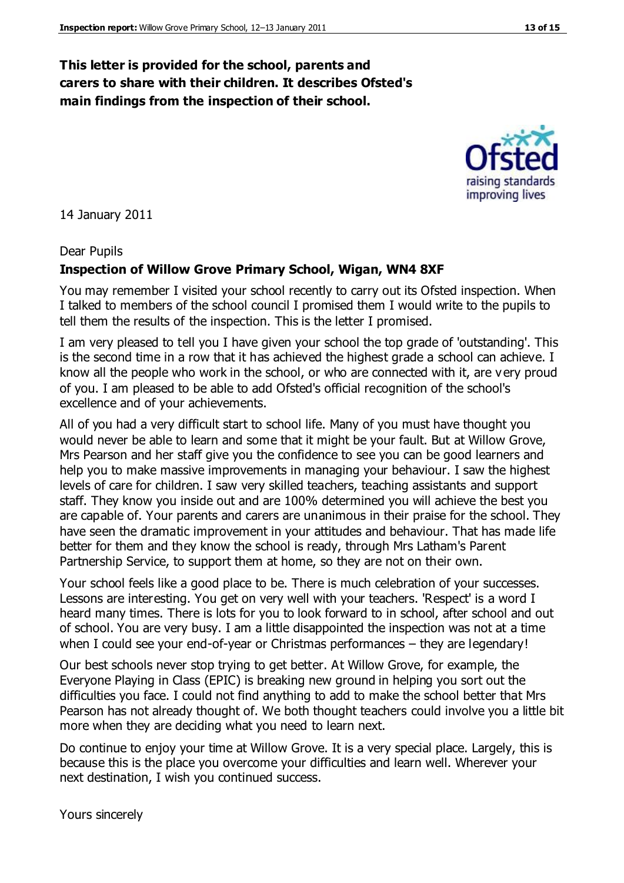### **This letter is provided for the school, parents and carers to share with their children. It describes Ofsted's main findings from the inspection of their school.**

14 January 2011

#### Dear Pupils

#### **Inspection of Willow Grove Primary School, Wigan, WN4 8XF**

You may remember I visited your school recently to carry out its Ofsted inspection. When I talked to members of the school council I promised them I would write to the pupils to tell them the results of the inspection. This is the letter I promised.

I am very pleased to tell you I have given your school the top grade of 'outstanding'. This is the second time in a row that it has achieved the highest grade a school can achieve. I know all the people who work in the school, or who are connected with it, are v ery proud of you. I am pleased to be able to add Ofsted's official recognition of the school's excellence and of your achievements.

All of you had a very difficult start to school life. Many of you must have thought you would never be able to learn and some that it might be your fault. But at Willow Grove, Mrs Pearson and her staff give you the confidence to see you can be good learners and help you to make massive improvements in managing your behaviour. I saw the highest levels of care for children. I saw very skilled teachers, teaching assistants and support staff. They know you inside out and are 100% determined you will achieve the best you are capable of. Your parents and carers are unanimous in their praise for the school. They have seen the dramatic improvement in your attitudes and behaviour. That has made life better for them and they know the school is ready, through Mrs Latham's Parent Partnership Service, to support them at home, so they are not on their own.

Your school feels like a good place to be. There is much celebration of your successes. Lessons are interesting. You get on very well with your teachers. 'Respect' is a word I heard many times. There is lots for you to look forward to in school, after school and out of school. You are very busy. I am a little disappointed the inspection was not at a time when I could see your end-of-year or Christmas performances – they are legendary!

Our best schools never stop trying to get better. At Willow Grove, for example, the Everyone Playing in Class (EPIC) is breaking new ground in helping you sort out the difficulties you face. I could not find anything to add to make the school better that Mrs Pearson has not already thought of. We both thought teachers could involve you a little bit more when they are deciding what you need to learn next.

Do continue to enjoy your time at Willow Grove. It is a very special place. Largely, this is because this is the place you overcome your difficulties and learn well. Wherever your next destination, I wish you continued success.



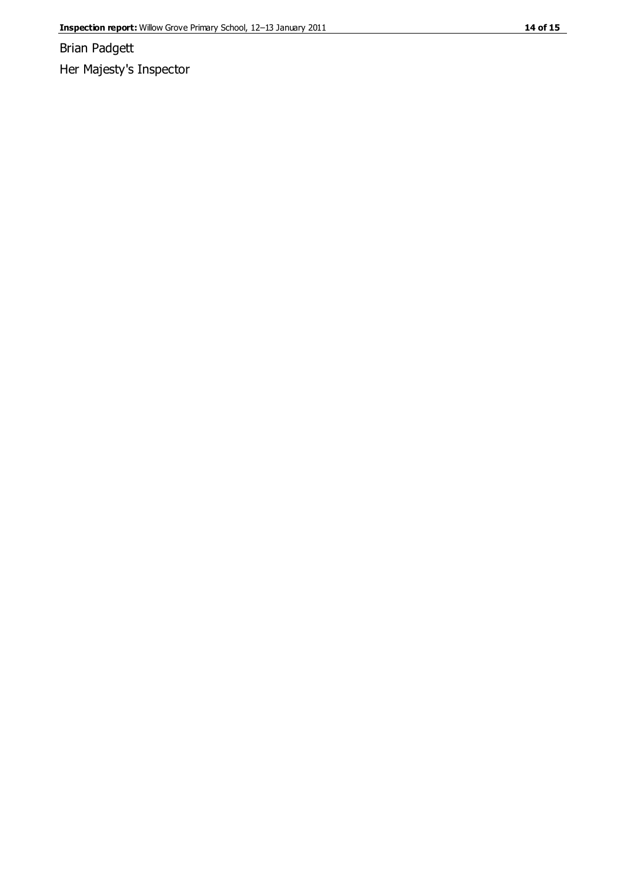Brian Padgett

Her Majesty's Inspector